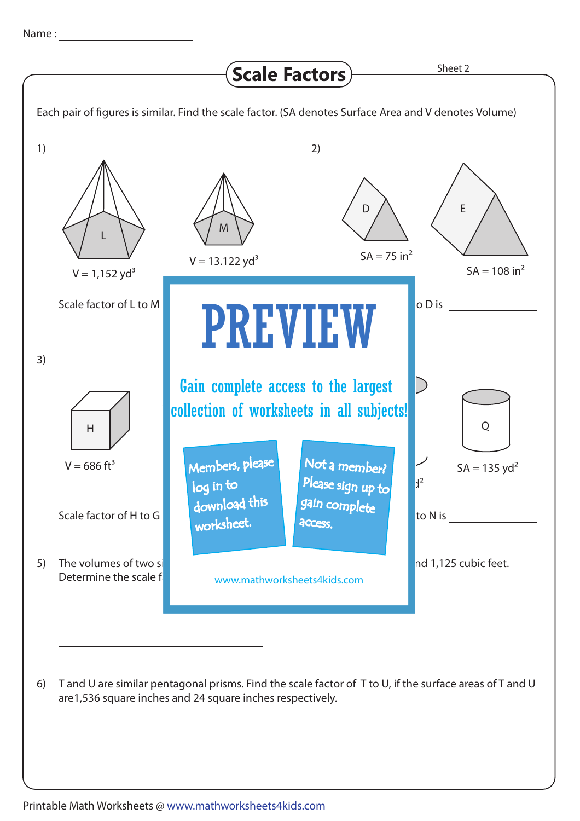